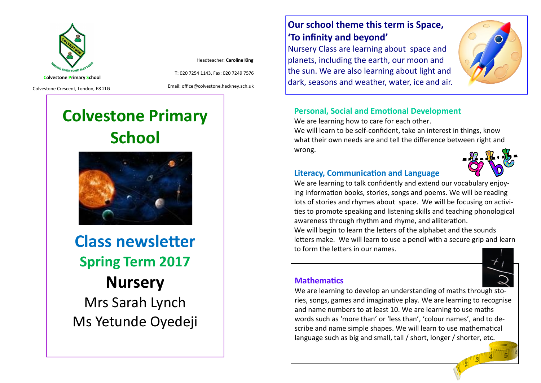

Headteacher: **Caroline King**

Colvestone Crescent, London, E8 2LG

Email: office@colvestone.hackney.sch.uk

T: 020 7254 1143, Fax: 020 7249 7576

# **Colvestone Primary School**



**Class newsletter Spring Term 2017 Nursery**  Mrs Sarah Lynch Ms Yetunde Oyedeji

## **Our school theme this term is Space, 'To infinity and beyond'**

Nursery Class are learning about space and planets, including the earth, our moon and the sun. We are also learning about light and dark, seasons and weather, water, ice and air.



## **Personal, Social and Emotional Development**

We are learning how to care for each other.

We will learn to be self-confident, take an interest in things, know what their own needs are and tell the difference between right and wrong.



#### **Literacy, Communication and Language**

We are learning to talk confidently and extend our vocabulary enjoying information books, stories, songs and poems. We will be reading lots of stories and rhymes about space. We will be focusing on activities to promote speaking and listening skills and teaching phonological awareness through rhythm and rhyme, and alliteration.

We will begin to learn the letters of the alphabet and the sounds letters make. We will learn to use a pencil with a secure grip and learn to form the letters in our names.

#### **Mathematics**



We are learning to develop an understanding of maths through stories, songs, games and imaginative play. We are learning to recognise and name numbers to at least 10. We are learning to use maths words such as 'more than' or 'less than', 'colour names', and to describe and name simple shapes. We will learn to use mathematical language such as big and small, tall / short, longer / shorter, etc.